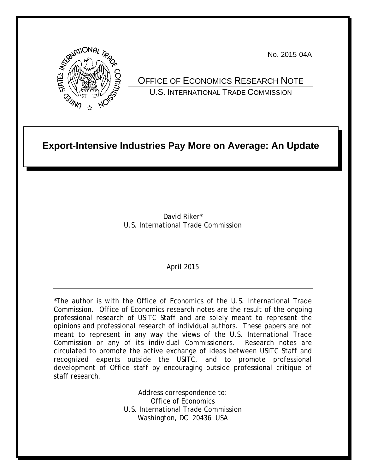

No. 2015-04A

OFFICE OF ECONOMICS RESEARCH NOTE U.S. INTERNATIONAL TRADE COMMISSION

# **Export-Intensive Industries Pay More on Average: An Update**

David Riker\* U.S. International Trade Commission

### April 2015

\*The author is with the Office of Economics of the U.S. International Trade Commission. Office of Economics research notes are the result of the ongoing professional research of USITC Staff and are solely meant to represent the opinions and professional research of individual authors. These papers are not meant to represent in any way the views of the U.S. International Trade Commission or any of its individual Commissioners. Research notes are circulated to promote the active exchange of ideas between USITC Staff and recognized experts outside the USITC, and to promote professional development of Office staff by encouraging outside professional critique of staff research.

> Address correspondence to: Office of Economics U.S. International Trade Commission Washington, DC 20436 USA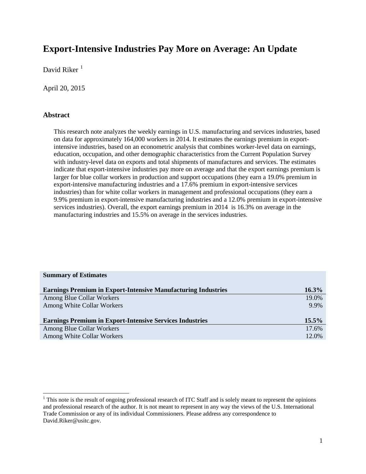## **Export-Intensive Industries Pay More on Average: An Update**

David Riker $<sup>1</sup>$  $<sup>1</sup>$  $<sup>1</sup>$ </sup>

April 20, 2015

#### **Abstract**

l

This research note analyzes the weekly earnings in U.S. manufacturing and services industries, based on data for approximately 164,000 workers in 2014. It estimates the earnings premium in exportintensive industries, based on an econometric analysis that combines worker-level data on earnings, education, occupation, and other demographic characteristics from the Current Population Survey with industry-level data on exports and total shipments of manufactures and services. The estimates indicate that export-intensive industries pay more on average and that the export earnings premium is larger for blue collar workers in production and support occupations (they earn a 19.0% premium in export-intensive manufacturing industries and a 17.6% premium in export-intensive services industries) than for white collar workers in management and professional occupations (they earn a 9.9% premium in export-intensive manufacturing industries and a 12.0% premium in export-intensive services industries). Overall, the export earnings premium in 2014 is 16.3% on average in the manufacturing industries and 15.5% on average in the services industries.

| <b>Summary of Estimates</b>                                          |          |
|----------------------------------------------------------------------|----------|
| <b>Earnings Premium in Export-Intensive Manufacturing Industries</b> | $16.3\%$ |
| Among Blue Collar Workers                                            | 19.0%    |
| Among White Collar Workers                                           | 9.9%     |
| <b>Earnings Premium in Export-Intensive Services Industries</b>      | $15.5\%$ |
| Among Blue Collar Workers                                            | 17.6%    |
| Among White Collar Workers                                           | 12.0%    |
|                                                                      |          |

<span id="page-1-0"></span><sup>&</sup>lt;sup>1</sup> This note is the result of ongoing professional research of ITC Staff and is solely meant to represent the opinions and professional research of the author. It is not meant to represent in any way the views of the U.S. International Trade Commission or any of its individual Commissioners. Please address any correspondence to David.Riker@usitc.gov.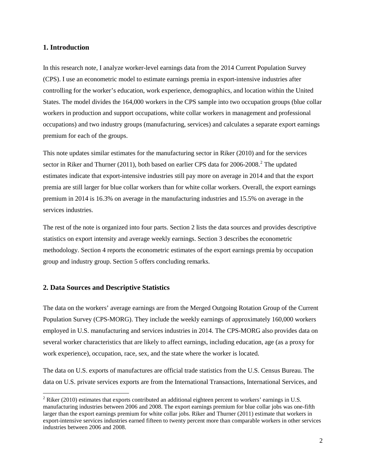#### **1. Introduction**

In this research note, I analyze worker-level earnings data from the 2014 Current Population Survey (CPS). I use an econometric model to estimate earnings premia in export-intensive industries after controlling for the worker's education, work experience, demographics, and location within the United States. The model divides the 164,000 workers in the CPS sample into two occupation groups (blue collar workers in production and support occupations, white collar workers in management and professional occupations) and two industry groups (manufacturing, services) and calculates a separate export earnings premium for each of the groups.

This note updates similar estimates for the manufacturing sector in Riker (2010) and for the services sector in Riker and Thurner ([2](#page-2-0)011), both based on earlier CPS data for  $2006-2008$ <sup>2</sup>. The updated estimates indicate that export-intensive industries still pay more on average in 2014 and that the export premia are still larger for blue collar workers than for white collar workers. Overall, the export earnings premium in 2014 is 16.3% on average in the manufacturing industries and 15.5% on average in the services industries.

The rest of the note is organized into four parts. Section 2 lists the data sources and provides descriptive statistics on export intensity and average weekly earnings. Section 3 describes the econometric methodology. Section 4 reports the econometric estimates of the export earnings premia by occupation group and industry group. Section 5 offers concluding remarks.

#### **2. Data Sources and Descriptive Statistics**

l

The data on the workers' average earnings are from the Merged Outgoing Rotation Group of the Current Population Survey (CPS-MORG). They include the weekly earnings of approximately 160,000 workers employed in U.S. manufacturing and services industries in 2014. The CPS-MORG also provides data on several worker characteristics that are likely to affect earnings, including education, age (as a proxy for work experience), occupation, race, sex, and the state where the worker is located.

The data on U.S. exports of manufactures are official trade statistics from the U.S. Census Bureau. The data on U.S. private services exports are from the International Transactions, International Services, and

<span id="page-2-0"></span> $2$  Riker (2010) estimates that exports contributed an additional eighteen percent to workers' earnings in U.S. manufacturing industries between 2006 and 2008. The export earnings premium for blue collar jobs was one-fifth larger than the export earnings premium for white collar jobs. Riker and Thurner (2011) estimate that workers in export-intensive services industries earned fifteen to twenty percent more than comparable workers in other services industries between 2006 and 2008.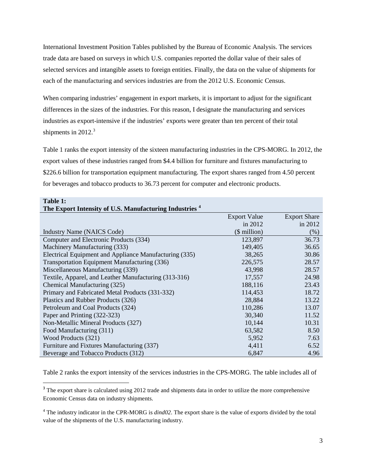International Investment Position Tables published by the Bureau of Economic Analysis. The services trade data are based on surveys in which U.S. companies reported the dollar value of their sales of selected services and intangible assets to foreign entities. Finally, the data on the value of shipments for each of the manufacturing and services industries are from the 2012 U.S. Economic Census.

When comparing industries' engagement in export markets, it is important to adjust for the significant differences in the sizes of the industries. For this reason, I designate the manufacturing and services industries as export-intensive if the industries' exports were greater than ten percent of their total shipments in  $2012.<sup>3</sup>$  $2012.<sup>3</sup>$  $2012.<sup>3</sup>$ 

Table 1 ranks the export intensity of the sixteen manufacturing industries in the CPS-MORG. In 2012, the export values of these industries ranged from \$4.4 billion for furniture and fixtures manufacturing to \$226.6 billion for transportation equipment manufacturing. The export shares ranged from 4.50 percent for beverages and tobacco products to 36.73 percent for computer and electronic products.

| Table 1:                                                           |                     |                     |
|--------------------------------------------------------------------|---------------------|---------------------|
| The Export Intensity of U.S. Manufacturing Industries <sup>4</sup> |                     |                     |
|                                                                    | <b>Export Value</b> | <b>Export Share</b> |
|                                                                    | in $2012$           | in 2012             |
| <b>Industry Name (NAICS Code)</b>                                  | $$$ million)        | $(\%)$              |
| Computer and Electronic Products (334)                             | 123,897             | 36.73               |
| Machinery Manufacturing (333)                                      | 149,405             | 36.65               |
| Electrical Equipment and Appliance Manufacturing (335)             | 38,265              | 30.86               |
| Transportation Equipment Manufacturing (336)                       | 226,575             | 28.57               |
| Miscellaneous Manufacturing (339)                                  | 43,998              | 28.57               |
| Textile, Apparel, and Leather Manufacturing (313-316)              | 17,557              | 24.98               |
| Chemical Manufacturing (325)                                       | 188,116             | 23.43               |
| Primary and Fabricated Metal Products (331-332)                    | 114,453             | 18.72               |
| Plastics and Rubber Products (326)                                 | 28,884              | 13.22               |
| Petroleum and Coal Products (324)                                  | 110,286             | 13.07               |
| Paper and Printing (322-323)                                       | 30,340              | 11.52               |
| Non-Metallic Mineral Products (327)                                | 10,144              | 10.31               |
| Food Manufacturing (311)                                           | 63,582              | 8.50                |
| Wood Products (321)                                                | 5,952               | 7.63                |
| Furniture and Fixtures Manufacturing (337)                         | 4,411               | 6.52                |
| Beverage and Tobacco Products (312)                                | 6,847               | 4.96                |

Table 2 ranks the export intensity of the services industries in the CPS-MORG. The table includes all of

l

<span id="page-3-0"></span><sup>&</sup>lt;sup>3</sup> The export share is calculated using 2012 trade and shipments data in order to utilize the more comprehensive Economic Census data on industry shipments.

<span id="page-3-1"></span><sup>&</sup>lt;sup>4</sup> The industry indicator in the CPR-MORG is *dind02*. The export share is the value of exports divided by the total value of the shipments of the U.S. manufacturing industry.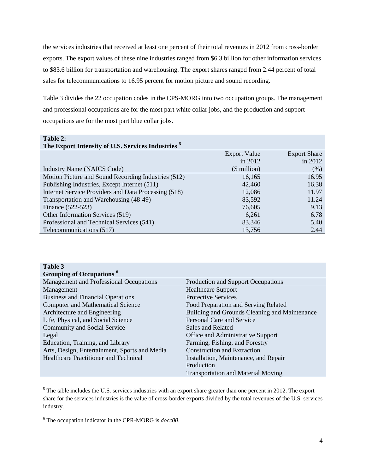the services industries that received at least one percent of their total revenues in 2012 from cross-border exports. The export values of these nine industries ranged from \$6.3 billion for other information services to \$83.6 billion for transportation and warehousing. The export shares ranged from 2.44 percent of total sales for telecommunications to 16.95 percent for motion picture and sound recording.

Table 3 divides the 22 occupation codes in the CPS-MORG into two occupation groups. The management and professional occupations are for the most part white collar jobs, and the production and support occupations are for the most part blue collar jobs.

| Table 2:                                                      |                     |                     |
|---------------------------------------------------------------|---------------------|---------------------|
| The Export Intensity of U.S. Services Industries <sup>5</sup> |                     |                     |
|                                                               | <b>Export Value</b> | <b>Export Share</b> |
|                                                               | in $2012$           | in 2012             |
| Industry Name (NAICS Code)                                    | $$$ million)        | (% )                |
| Motion Picture and Sound Recording Industries (512)           | 16,165              | 16.95               |
| Publishing Industries, Except Internet (511)                  | 42,460              | 16.38               |
| Internet Service Providers and Data Processing (518)          | 12,086              | 11.97               |
| Transportation and Warehousing (48-49)                        | 83,592              | 11.24               |
| Finance (522-523)                                             | 76,605              | 9.13                |
| Other Information Services (519)                              | 6,261               | 6.78                |
| Professional and Technical Services (541)                     | 83,346              | 5.40                |
| Telecommunications (517)                                      | 13,756              | 2.44                |

| Table 3                                       |                                               |
|-----------------------------------------------|-----------------------------------------------|
| Grouping of Occupations <sup>6</sup>          |                                               |
| Management and Professional Occupations       | Production and Support Occupations            |
| Management                                    | <b>Healthcare Support</b>                     |
| <b>Business and Financial Operations</b>      | <b>Protective Services</b>                    |
| <b>Computer and Mathematical Science</b>      | Food Preparation and Serving Related          |
| Architecture and Engineering                  | Building and Grounds Cleaning and Maintenance |
| Life, Physical, and Social Science            | Personal Care and Service                     |
| Community and Social Service                  | Sales and Related                             |
| Legal                                         | Office and Administrative Support             |
| Education, Training, and Library              | Farming, Fishing, and Forestry                |
| Arts, Design, Entertainment, Sports and Media | <b>Construction and Extraction</b>            |
| <b>Healthcare Practitioner and Technical</b>  | Installation, Maintenance, and Repair         |
|                                               | Production                                    |
|                                               | <b>Transportation and Material Moving</b>     |

<span id="page-4-0"></span><sup>&</sup>lt;sup>5</sup> The table includes the U.S. services industries with an export share greater than one percent in 2012. The export share for the services industries is the value of cross-border exports divided by the total revenues of the U.S. services industry.

l

<span id="page-4-1"></span><sup>6</sup> The occupation indicator in the CPR-MORG is *docc00*.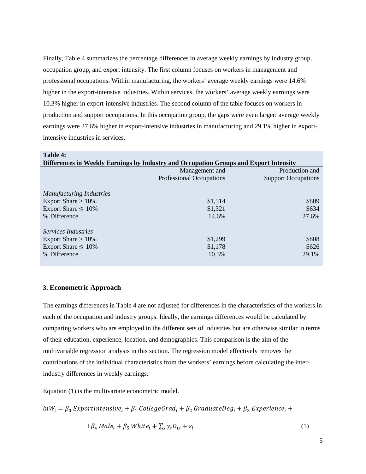Finally, Table 4 summarizes the percentage differences in average weekly earnings by industry group, occupation group, and export intensity. The first column focuses on workers in management and professional occupations. Within manufacturing, the workers' average weekly earnings were 14.6% higher in the export-intensive industries. Within services, the workers' average weekly earnings were 10.3% higher in export-intensive industries. The second column of the table focuses on workers in production and support occupations. In this occupation group, the gaps were even larger: average weekly earnings were 27.6% higher in export-intensive industries in manufacturing and 29.1% higher in exportintensive industries in services.

| Table 4:                                                                              |                                 |                            |
|---------------------------------------------------------------------------------------|---------------------------------|----------------------------|
| Differences in Weekly Earnings by Industry and Occupation Groups and Export Intensity |                                 |                            |
|                                                                                       | Management and                  | Production and             |
|                                                                                       | <b>Professional Occupations</b> | <b>Support Occupations</b> |
|                                                                                       |                                 |                            |
| <b>Manufacturing Industries</b>                                                       |                                 |                            |
| Export Share $> 10\%$                                                                 | \$1,514                         | \$809                      |
| Export Share $\leq 10\%$                                                              | \$1,321                         | \$634                      |
| % Difference                                                                          | 14.6%                           | 27.6%                      |
|                                                                                       |                                 |                            |
| Services Industries                                                                   |                                 |                            |
| Export Share $>10\%$                                                                  | \$1,299                         | \$808                      |
| Export Share $\leq 10\%$                                                              | \$1,178                         | \$626                      |
| % Difference                                                                          | 10.3%                           | 29.1%                      |
|                                                                                       |                                 |                            |

#### **3. Econometric Approach**

The earnings differences in Table 4 are not adjusted for differences in the characteristics of the workers in each of the occupation and industry groups. Ideally, the earnings differences would be calculated by comparing workers who are employed in the different sets of industries but are otherwise similar in terms of their education, experience, location, and demographics. This comparison is the aim of the multivariable regression analysis in this section. The regression model effectively removes the contributions of the individual characteristics from the workers' earnings before calculating the interindustry differences in weekly earnings.

Equation (1) is the multivariate econometric model.

 $ln W_i = \beta_0$  ExportIntensive<sub>i</sub> +  $\beta_1$  CollegeGrad<sub>i</sub> +  $\beta_2$  GraduateDeg<sub>i</sub> +  $\beta_3$  Experience<sub>i</sub> +

$$
+\beta_4 \text{ Male}_i + \beta_5 \text{ White}_i + \sum_s \gamma_s D_{is} + \varepsilon_i \tag{1}
$$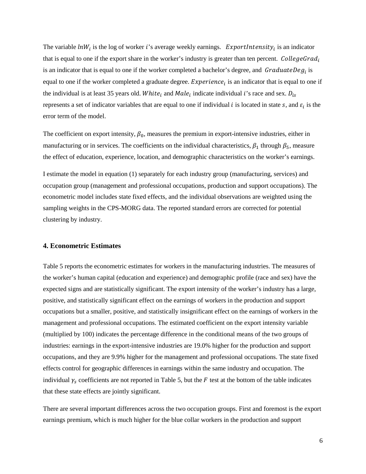The variable  $lnW_i$  is the log of worker i's average weekly earnings. ExportIntensity<sub>i</sub> is an indicator that is equal to one if the export share in the worker's industry is greater than ten percent. CollegeGrad<sub>i</sub> is an indicator that is equal to one if the worker completed a bachelor's degree, and  $GraduateDeg<sub>i</sub>$  is equal to one if the worker completed a graduate degree. Experience, is an indicator that is equal to one if the individual is at least 35 years old. White<sub>i</sub> and  $Male_i$  indicate individual i's race and sex.  $D_{is}$ represents a set of indicator variables that are equal to one if individual i is located in state  $s$ , and  $\varepsilon_i$  is the error term of the model.

The coefficient on export intensity,  $\beta_0$ , measures the premium in export-intensive industries, either in manufacturing or in services. The coefficients on the individual characteristics,  $\beta_1$  through  $\beta_5$ , measure the effect of education, experience, location, and demographic characteristics on the worker's earnings.

I estimate the model in equation (1) separately for each industry group (manufacturing, services) and occupation group (management and professional occupations, production and support occupations). The econometric model includes state fixed effects, and the individual observations are weighted using the sampling weights in the CPS-MORG data. The reported standard errors are corrected for potential clustering by industry.

#### **4. Econometric Estimates**

Table 5 reports the econometric estimates for workers in the manufacturing industries. The measures of the worker's human capital (education and experience) and demographic profile (race and sex) have the expected signs and are statistically significant. The export intensity of the worker's industry has a large, positive, and statistically significant effect on the earnings of workers in the production and support occupations but a smaller, positive, and statistically insignificant effect on the earnings of workers in the management and professional occupations. The estimated coefficient on the export intensity variable (multiplied by 100) indicates the percentage difference in the conditional means of the two groups of industries: earnings in the export-intensive industries are 19.0% higher for the production and support occupations, and they are 9.9% higher for the management and professional occupations. The state fixed effects control for geographic differences in earnings within the same industry and occupation. The individual  $\gamma_s$  coefficients are not reported in Table 5, but the  $F$  test at the bottom of the table indicates that these state effects are jointly significant.

There are several important differences across the two occupation groups. First and foremost is the export earnings premium, which is much higher for the blue collar workers in the production and support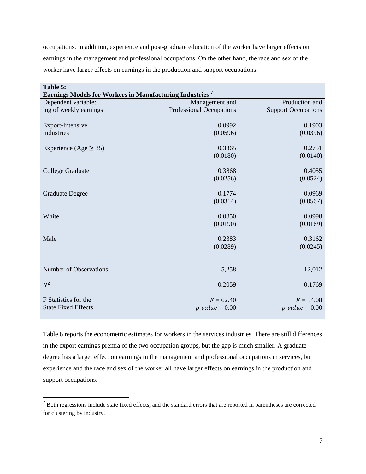occupations. In addition, experience and post-graduate education of the worker have larger effects on earnings in the management and professional occupations. On the other hand, the race and sex of the worker have larger effects on earnings in the production and support occupations.

| Table 5:                   |                                                                      |                            |  |
|----------------------------|----------------------------------------------------------------------|----------------------------|--|
|                            | Earnings Models for Workers in Manufacturing Industries <sup>7</sup> |                            |  |
| Dependent variable:        | Management and                                                       | Production and             |  |
| log of weekly earnings     | <b>Professional Occupations</b>                                      | <b>Support Occupations</b> |  |
|                            |                                                                      |                            |  |
| Export-Intensive           | 0.0992                                                               | 0.1903                     |  |
| Industries                 | (0.0596)                                                             | (0.0396)                   |  |
|                            |                                                                      |                            |  |
| Experience (Age $\geq$ 35) | 0.3365                                                               | 0.2751                     |  |
|                            | (0.0180)                                                             | (0.0140)                   |  |
| College Graduate           | 0.3868                                                               | 0.4055                     |  |
|                            | (0.0256)                                                             | (0.0524)                   |  |
|                            |                                                                      |                            |  |
| <b>Graduate Degree</b>     | 0.1774                                                               | 0.0969                     |  |
|                            | (0.0314)                                                             | (0.0567)                   |  |
|                            |                                                                      |                            |  |
| White                      | 0.0850                                                               | 0.0998                     |  |
|                            | (0.0190)                                                             | (0.0169)                   |  |
|                            |                                                                      |                            |  |
| Male                       | 0.2383                                                               | 0.3162                     |  |
|                            | (0.0289)                                                             | (0.0245)                   |  |
|                            |                                                                      |                            |  |
| Number of Observations     | 5,258                                                                | 12,012                     |  |
|                            |                                                                      |                            |  |
| $R^2$                      | 0.2059                                                               | 0.1769                     |  |
|                            |                                                                      |                            |  |
| F Statistics for the       | $F = 62.40$                                                          | $F = 54.08$                |  |
| <b>State Fixed Effects</b> | $p$ value = 0.00                                                     | $p$ value = 0.00           |  |
|                            |                                                                      |                            |  |

Table 6 reports the econometric estimates for workers in the services industries. There are still differences in the export earnings premia of the two occupation groups, but the gap is much smaller. A graduate degree has a larger effect on earnings in the management and professional occupations in services, but experience and the race and sex of the worker all have larger effects on earnings in the production and support occupations.

 $\overline{a}$ 

<span id="page-7-0"></span><sup>&</sup>lt;sup>7</sup> Both regressions include state fixed effects, and the standard errors that are reported in parentheses are corrected for clustering by industry.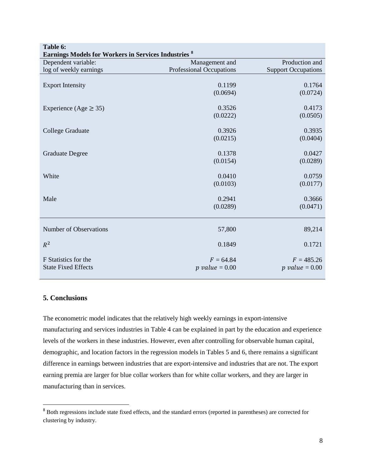| Table 6:                                                    |                                                   |                            |
|-------------------------------------------------------------|---------------------------------------------------|----------------------------|
| <b>Earnings Models for Workers in Services Industries 8</b> |                                                   | Production and             |
| Dependent variable:                                         | Management and<br><b>Professional Occupations</b> | <b>Support Occupations</b> |
| log of weekly earnings                                      |                                                   |                            |
| <b>Export Intensity</b>                                     | 0.1199                                            | 0.1764                     |
|                                                             | (0.0694)                                          | (0.0724)                   |
|                                                             |                                                   |                            |
| Experience (Age $\geq$ 35)                                  | 0.3526                                            | 0.4173                     |
|                                                             | (0.0222)                                          | (0.0505)                   |
| College Graduate                                            | 0.3926                                            | 0.3935                     |
|                                                             | (0.0215)                                          | (0.0404)                   |
|                                                             |                                                   |                            |
| <b>Graduate Degree</b>                                      | 0.1378                                            | 0.0427                     |
|                                                             | (0.0154)                                          | (0.0289)                   |
| White                                                       | 0.0410                                            | 0.0759                     |
|                                                             | (0.0103)                                          | (0.0177)                   |
|                                                             |                                                   |                            |
| Male                                                        | 0.2941                                            | 0.3666                     |
|                                                             | (0.0289)                                          | (0.0471)                   |
|                                                             |                                                   |                            |
| Number of Observations                                      | 57,800                                            | 89,214                     |
|                                                             |                                                   |                            |
| $R^2$                                                       | 0.1849                                            | 0.1721                     |
| F Statistics for the                                        | $F = 64.84$                                       | $F = 485.26$               |
| <b>State Fixed Effects</b>                                  | $p$ value = 0.00                                  | $p$ value = 0.00           |
|                                                             |                                                   |                            |

#### **5. Conclusions**

l

The econometric model indicates that the relatively high weekly earnings in export-intensive manufacturing and services industries in Table 4 can be explained in part by the education and experience levels of the workers in these industries. However, even after controlling for observable human capital, demographic, and location factors in the regression models in Tables 5 and 6, there remains a significant difference in earnings between industries that are export-intensive and industries that are not. The export earning premia are larger for blue collar workers than for white collar workers, and they are larger in manufacturing than in services.

<span id="page-8-0"></span><sup>8</sup> Both regressions include state fixed effects, and the standard errors (reported in parentheses) are corrected for clustering by industry.